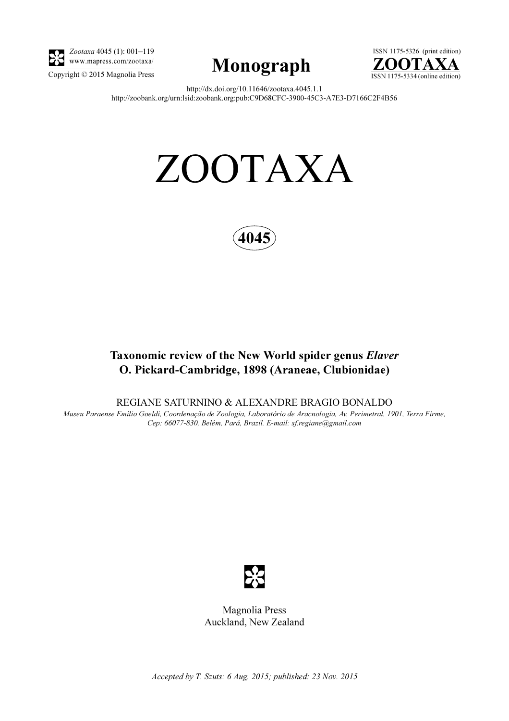

Zootaxa 4045 (1): 001–119 www.mapress.com/zootaxa/





http://dx.doi.org/10.11646/zootaxa.4045.1.1 http://zoobank.org/urn:lsid:zoobank.org:pub:C9D68CFC-3900-45C3-A7E3-D7166C2F4B56

# ZOOTAXA



# Taxonomic review of the New World spider genus Elaver O. Pickard-Cambridge, 1898 (Araneae, Clubionidae)

REGIANE SATURNINO & ALEXANDRE BRAGIO BONALDO

Museu Paraense Emílio Goeldi, Coordenação de Zoologia, Laboratório de Aracnologia, Av. Perimetral, 1901, Terra Firme, Cep: 66077-830, Belém, Pará, Brazil. E-mail: sf.regiane@gmail.com



Magnolia Press Auckland, New Zealand

Accepted by T. Szuts: 6 Aug. 2015; published: 23 Nov. 2015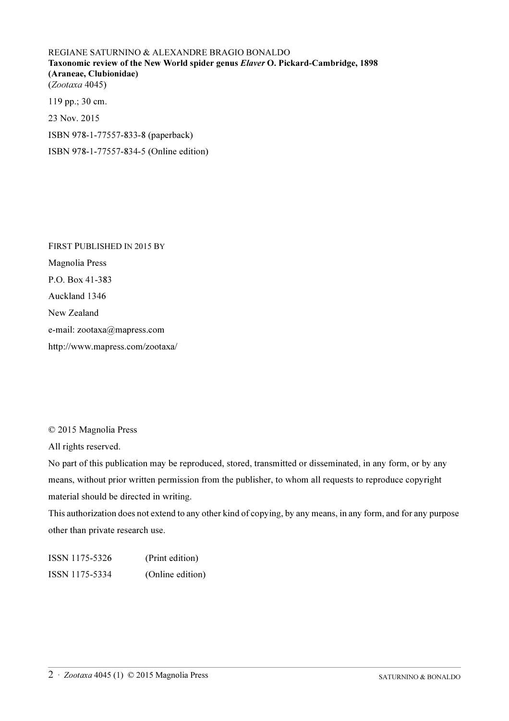REGIANE SATURNINO & ALEXANDRE BRAGIO BONALDO Taxonomic review of the New World spider genus Elaver O. Pickard-Cambridge, 1898 (Araneae, Clubionidae) (Zootaxa 4045) 119 pp.; 30 cm. 23 Nov. 2015 ISBN 978-1-77557-833-8 (paperback) ISBN 978-1-77557-834-5 (Online edition)

FIRST PUBLISHED IN 2015 BY Magnolia Press P.O. Box 41-383 Auckland 1346 New Zealand e-mail: zootaxa@mapress.com http://www.mapress.com/zootaxa/

© 2015 Magnolia Press

All rights reserved.

No part of this publication may be reproduced, stored, transmitted or disseminated, in any form, or by any means, without prior written permission from the publisher, to whom all requests to reproduce copyright material should be directed in writing.

This authorization does not extend to any other kind of copying, by any means, in any form, and for any purpose other than private research use.

ISSN 1175-5326 (Print edition) ISSN 1175-5334 (Online edition)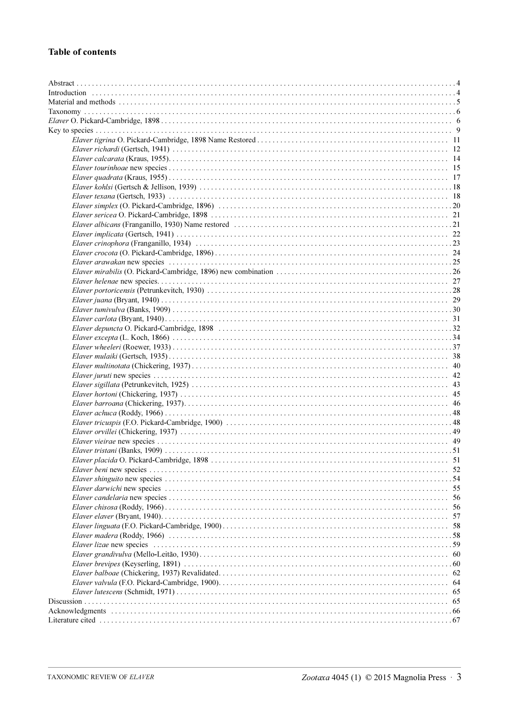## **Table of contents**